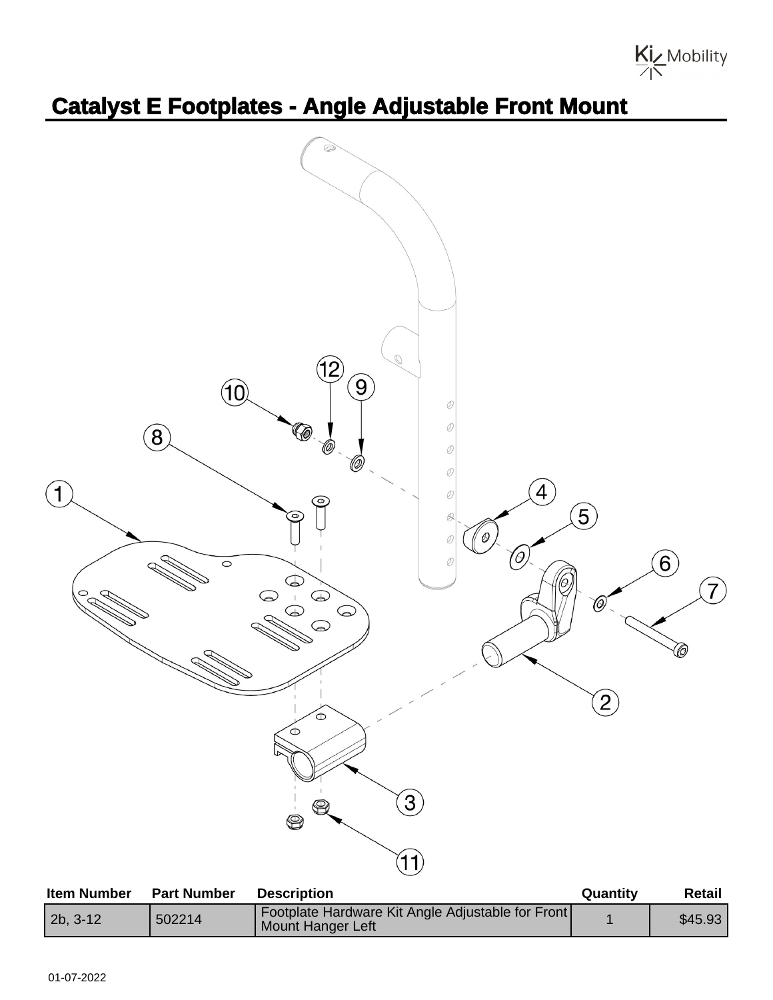

## **Catalyst E Footplates - Angle Adjustable Front Mount**



| .          | .      |                                                                        | --------- | .       |
|------------|--------|------------------------------------------------------------------------|-----------|---------|
| $2b, 3-12$ | 502214 | Footplate Hardware Kit Angle Adjustable for Front<br>Mount Hanger Left |           | \$45.93 |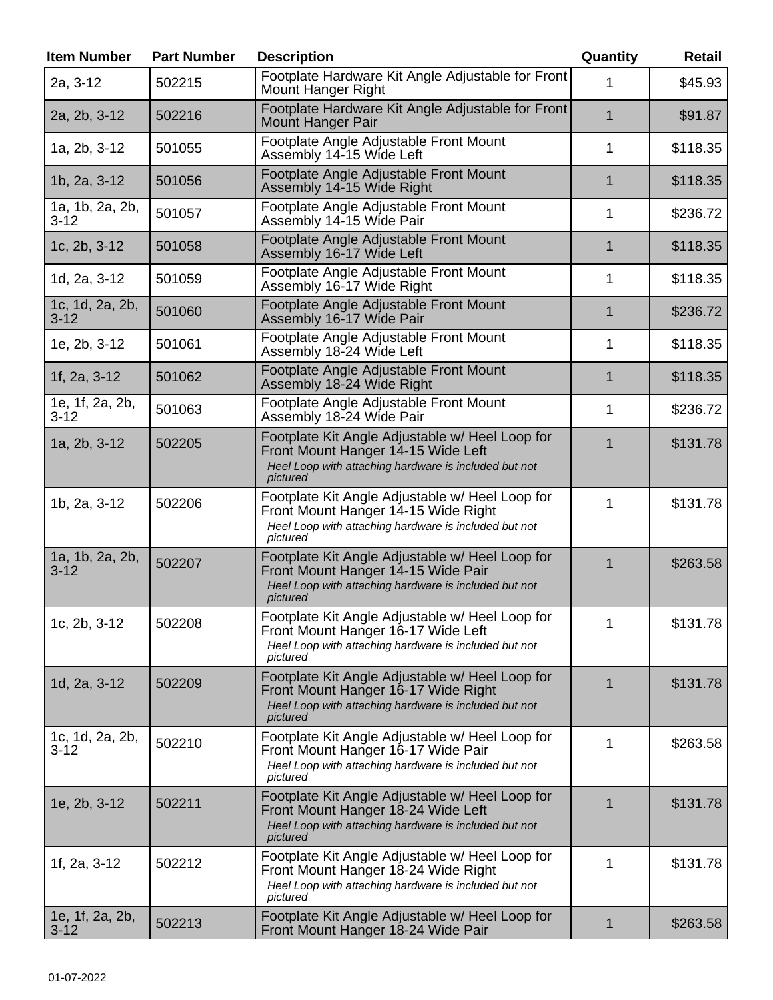| <b>Item Number</b>          | <b>Part Number</b> | <b>Description</b>                                                                                                                                          | Quantity    | <b>Retail</b> |
|-----------------------------|--------------------|-------------------------------------------------------------------------------------------------------------------------------------------------------------|-------------|---------------|
| 2a, 3-12                    | 502215             | Footplate Hardware Kit Angle Adjustable for Front<br><b>Mount Hanger Right</b>                                                                              | 1           | \$45.93       |
| 2a, 2b, 3-12                | 502216             | Footplate Hardware Kit Angle Adjustable for Front<br><b>Mount Hanger Pair</b>                                                                               | $\mathbf 1$ | \$91.87       |
| 1a, 2b, 3-12                | 501055             | Footplate Angle Adjustable Front Mount<br>Assembly 14-15 Wide Left                                                                                          | 1           | \$118.35      |
| 1b, 2a, 3-12                | 501056             | Footplate Angle Adjustable Front Mount<br>Assembly 14-15 Wide Right                                                                                         | 1           | \$118.35      |
| 1a, 1b, 2a, 2b,<br>$3 - 12$ | 501057             | Footplate Angle Adjustable Front Mount<br>Assembly 14-15 Wide Pair                                                                                          | 1           | \$236.72      |
| 1c, 2b, 3-12                | 501058             | Footplate Angle Adjustable Front Mount<br>Assembly 16-17 Wide Left                                                                                          | $\mathbf 1$ | \$118.35      |
| 1d, 2a, 3-12                | 501059             | Footplate Angle Adjustable Front Mount<br>Assembly 16-17 Wide Right                                                                                         | 1           | \$118.35      |
| 1c, 1d, 2a, 2b,<br>$3 - 12$ | 501060             | Footplate Angle Adjustable Front Mount<br>Assembly 16-17 Wide Pair                                                                                          | 1           | \$236.72      |
| 1e, 2b, 3-12                | 501061             | Footplate Angle Adjustable Front Mount<br>Assembly 18-24 Wide Left                                                                                          | 1           | \$118.35      |
| 1f, 2a, 3-12                | 501062             | Footplate Angle Adjustable Front Mount<br>Assembly 18-24 Wide Right                                                                                         | 1           | \$118.35      |
| 1e, 1f, 2a, 2b,<br>$3 - 12$ | 501063             | Footplate Angle Adjustable Front Mount<br>Assembly 18-24 Wide Pair                                                                                          | 1           | \$236.72      |
| 1a, 2b, 3-12                | 502205             | Footplate Kit Angle Adjustable w/ Heel Loop for<br>Front Mount Hanger 14-15 Wide Left<br>Heel Loop with attaching hardware is included but not<br>pictured  | $\mathbf 1$ | \$131.78      |
| 1b, 2a, 3-12                | 502206             | Footplate Kit Angle Adjustable w/ Heel Loop for<br>Front Mount Hanger 14-15 Wide Right<br>Heel Loop with attaching hardware is included but not<br>pictured | 1           | \$131.78      |
| 1a, 1b, 2a, 2b,<br>$3 - 12$ | 502207             | Footplate Kit Angle Adjustable w/ Heel Loop for<br>Front Mount Hanger 14-15 Wide Pair<br>Heel Loop with attaching hardware is included but not<br>pictured  | $\mathbf 1$ | \$263.58      |
| 1c, 2b, 3-12                | 502208             | Footplate Kit Angle Adjustable w/ Heel Loop for<br>Front Mount Hanger 16-17 Wide Left<br>Heel Loop with attaching hardware is included but not<br>pictured  | 1           | \$131.78      |
| 1d, 2a, 3-12                | 502209             | Footplate Kit Angle Adjustable w/ Heel Loop for<br>Front Mount Hanger 16-17 Wide Right<br>Heel Loop with attaching hardware is included but not<br>pictured | 1           | \$131.78      |
| 1c, 1d, 2a, 2b,<br>$3 - 12$ | 502210             | Footplate Kit Angle Adjustable w/ Heel Loop for<br>Front Mount Hanger 16-17 Wide Pair<br>Heel Loop with attaching hardware is included but not<br>pictured  | 1           | \$263.58      |
| 1e, 2b, 3-12                | 502211             | Footplate Kit Angle Adjustable w/ Heel Loop for<br>Front Mount Hanger 18-24 Wide Left<br>Heel Loop with attaching hardware is included but not<br>pictured  | $\mathbf 1$ | \$131.78      |
| 1f, 2a, 3-12                | 502212             | Footplate Kit Angle Adjustable w/ Heel Loop for<br>Front Mount Hanger 18-24 Wide Right<br>Heel Loop with attaching hardware is included but not<br>pictured | 1           | \$131.78      |
| 1e, 1f, 2a, 2b,<br>$3 - 12$ | 502213             | Footplate Kit Angle Adjustable w/ Heel Loop for<br>Front Mount Hanger 18-24 Wide Pair                                                                       | 1           | \$263.58      |